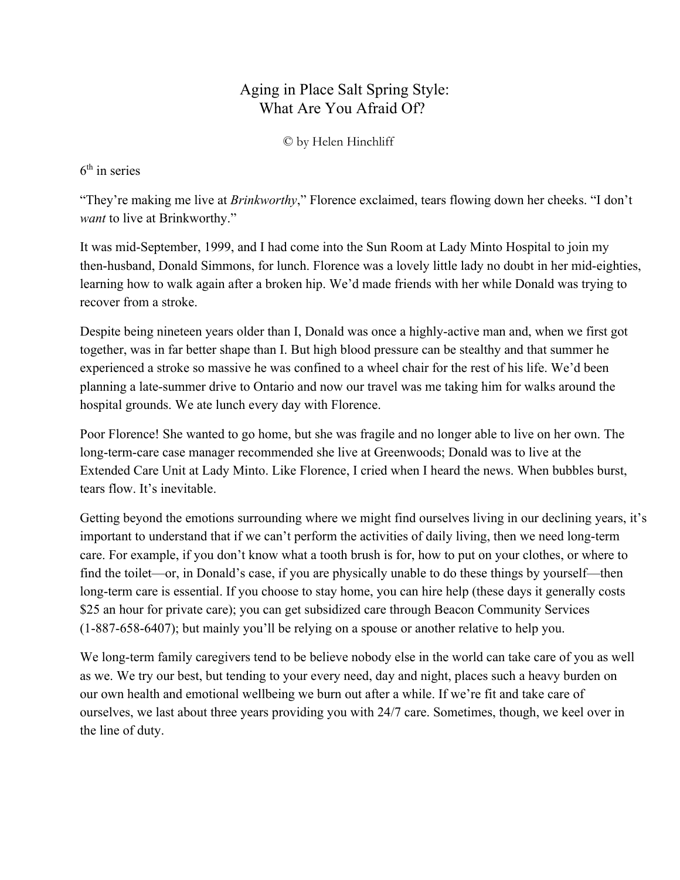## Aging in Place Salt Spring Style: What Are You Afraid Of?

© by Helen Hinchliff

## 6 th in series

"They're making me live at *Brinkworthy*," Florence exclaimed, tears flowing down her cheeks. "I don't *want* to live at Brinkworthy."

It was mid-September, 1999, and I had come into the Sun Room at Lady Minto Hospital to join my then-husband, Donald Simmons, for lunch. Florence was a lovely little lady no doubt in her mid-eighties, learning how to walk again after a broken hip. We'd made friends with her while Donald was trying to recover from a stroke.

Despite being nineteen years older than I, Donald was once a highly-active man and, when we first got together, was in far better shape than I. But high blood pressure can be stealthy and that summer he experienced a stroke so massive he was confined to a wheel chair for the rest of his life. We'd been planning a latesummer drive to Ontario and now our travel was me taking him for walks around the hospital grounds. We ate lunch every day with Florence.

Poor Florence! She wanted to go home, but she was fragile and no longer able to live on her own. The long-term-care case manager recommended she live at Greenwoods; Donald was to live at the Extended Care Unit at Lady Minto. Like Florence, I cried when I heard the news. When bubbles burst, tears flow. It's inevitable.

Getting beyond the emotions surrounding where we might find ourselves living in our declining years, it's important to understand that if we can't perform the activities of daily living, then we need long-term care. For example, if you don't know what a tooth brush is for, how to put on your clothes, or where to find the toilet—or, in Donald's case, if you are physically unable to do these things by yourself—then long-term care is essential. If you choose to stay home, you can hire help (these days it generally costs \$25 an hour for private care); you can get subsidized care through Beacon Community Services  $(1-887-658-6407)$ ; but mainly you'll be relying on a spouse or another relative to help you.

We long-term family caregivers tend to be believe nobody else in the world can take care of you as well as we. We try our best, but tending to your every need, day and night, places such a heavy burden on our own health and emotional wellbeing we burn out after a while. If we're fit and take care of ourselves, we last about three years providing you with 24/7 care. Sometimes, though, we keel over in the line of duty.